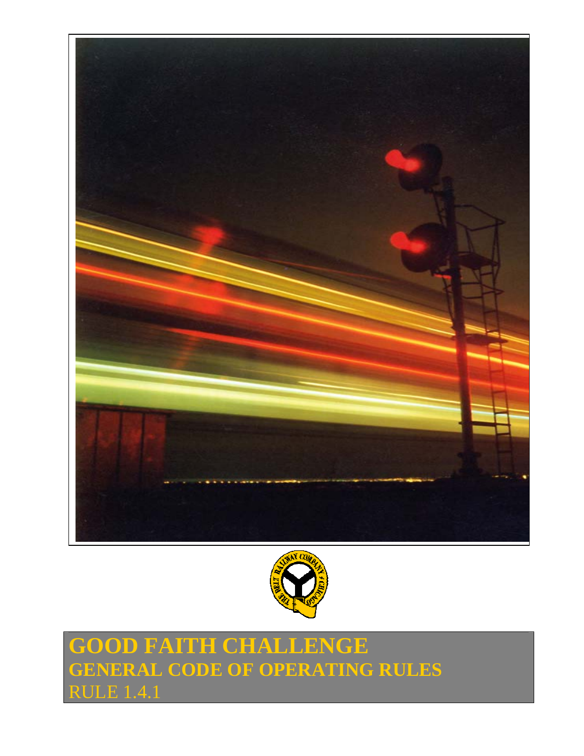



**GOOD FAITH CHALLENGE GENERAL CODE OF OPERATING RULES**  RULE 1.4.1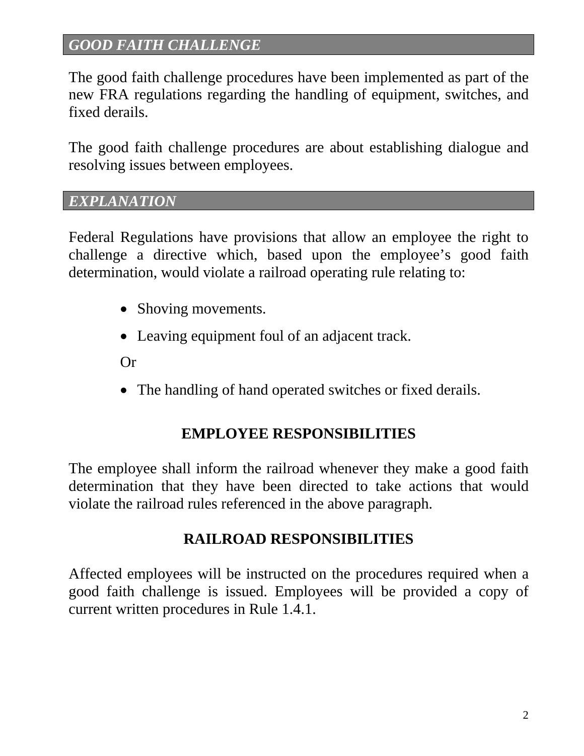## *GOOD FAITH CHALLENGE*

The good faith challenge procedures have been implemented as part of the new FRA regulations regarding the handling of equipment, switches, and fixed derails.

The good faith challenge procedures are about establishing dialogue and resolving issues between employees.

#### *EXPLANATION*

Federal Regulations have provisions that allow an employee the right to challenge a directive which, based upon the employee's good faith determination, would violate a railroad operating rule relating to:

- Shoving movements.
- Leaving equipment foul of an adjacent track.

Or

• The handling of hand operated switches or fixed derails.

#### **EMPLOYEE RESPONSIBILITIES**

The employee shall inform the railroad whenever they make a good faith determination that they have been directed to take actions that would violate the railroad rules referenced in the above paragraph.

#### **RAILROAD RESPONSIBILITIES**

Affected employees will be instructed on the procedures required when a good faith challenge is issued. Employees will be provided a copy of current written procedures in Rule 1.4.1.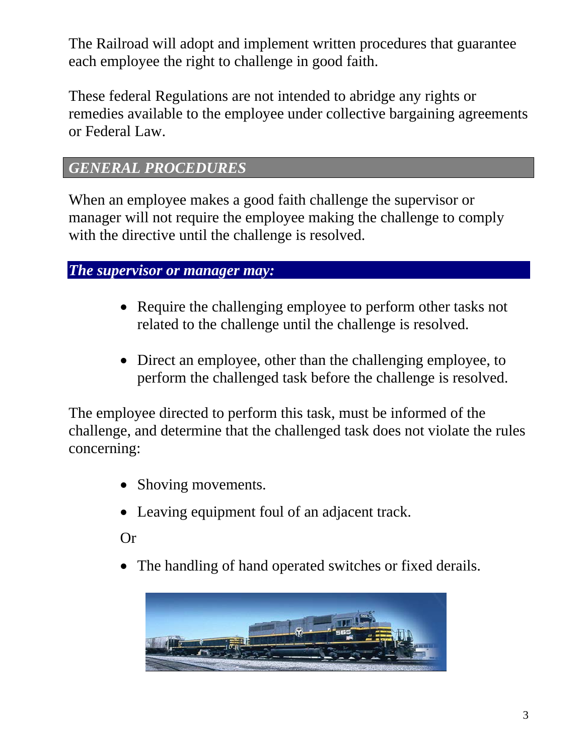The Railroad will adopt and implement written procedures that guarantee each employee the right to challenge in good faith.

These federal Regulations are not intended to abridge any rights or remedies available to the employee under collective bargaining agreements or Federal Law.

#### *GENERAL PROCEDURES*

When an employee makes a good faith challenge the supervisor or manager will not require the employee making the challenge to comply with the directive until the challenge is resolved.

### *The supervisor or manager may:*

- Require the challenging employee to perform other tasks not related to the challenge until the challenge is resolved.
- Direct an employee, other than the challenging employee, to perform the challenged task before the challenge is resolved.

The employee directed to perform this task, must be informed of the challenge, and determine that the challenged task does not violate the rules concerning:

- Shoving movements.
- Leaving equipment foul of an adjacent track.

Or

• The handling of hand operated switches or fixed derails.

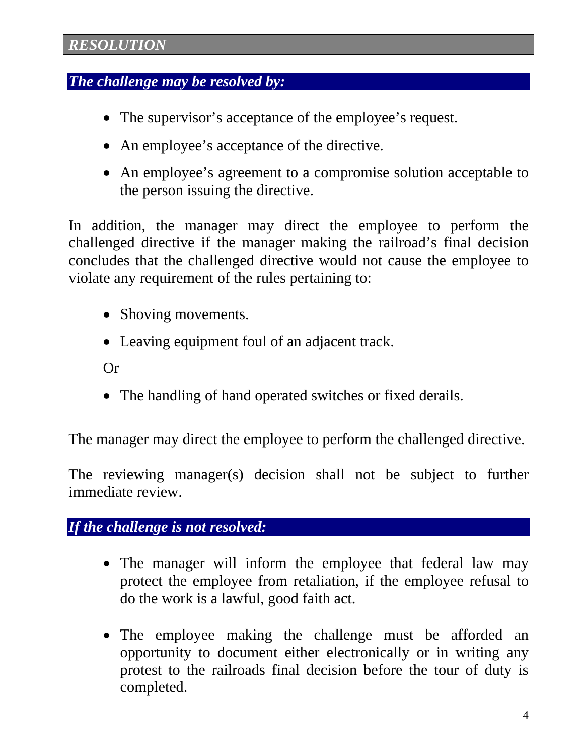#### *The challenge may be resolved by:*

- The supervisor's acceptance of the employee's request.
- An employee's acceptance of the directive.
- An employee's agreement to a compromise solution acceptable to the person issuing the directive.

In addition, the manager may direct the employee to perform the challenged directive if the manager making the railroad's final decision concludes that the challenged directive would not cause the employee to violate any requirement of the rules pertaining to:

- Shoving movements.
- Leaving equipment foul of an adjacent track.

Or

• The handling of hand operated switches or fixed derails.

The manager may direct the employee to perform the challenged directive.

The reviewing manager(s) decision shall not be subject to further immediate review.

#### *If the challenge is not resolved:*

- The manager will inform the employee that federal law may protect the employee from retaliation, if the employee refusal to do the work is a lawful, good faith act.
- The employee making the challenge must be afforded an opportunity to document either electronically or in writing any protest to the railroads final decision before the tour of duty is completed.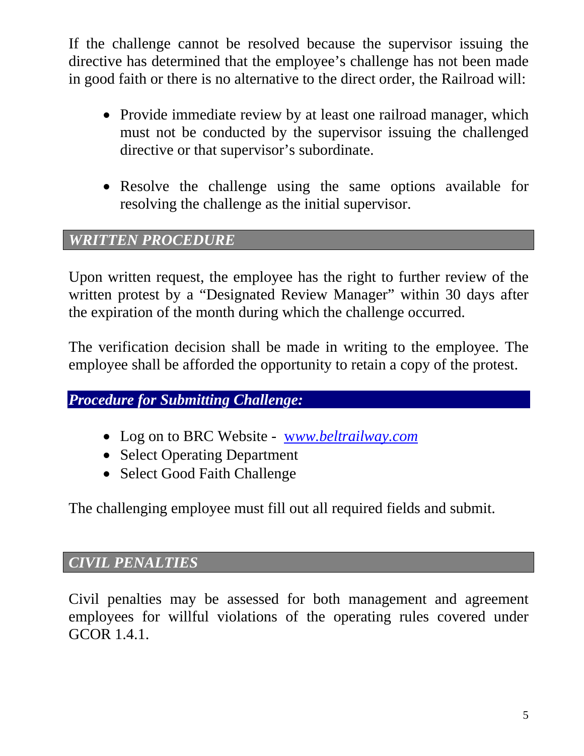If the challenge cannot be resolved because the supervisor issuing the directive has determined that the employee's challenge has not been made in good faith or there is no alternative to the direct order, the Railroad will:

- Provide immediate review by at least one railroad manager, which must not be conducted by the supervisor issuing the challenged directive or that supervisor's subordinate.
- Resolve the challenge using the same options available for resolving the challenge as the initial supervisor.

### *WRITTEN PROCEDURE*

Upon written request, the employee has the right to further review of the written protest by a "Designated Review Manager" within 30 days after the expiration of the month during which the challenge occurred.

The verification decision shall be made in writing to the employee. The employee shall be afforded the opportunity to retain a copy of the protest.

#### *Procedure for Submitting Challenge:*

- Log on to BRC Website w*ww.beltrailway.com*
- Select Operating Department
- Select Good Faith Challenge

The challenging employee must fill out all required fields and submit.

# *CIVIL PENALTIES*

Civil penalties may be assessed for both management and agreement employees for willful violations of the operating rules covered under GCOR 1.4.1.